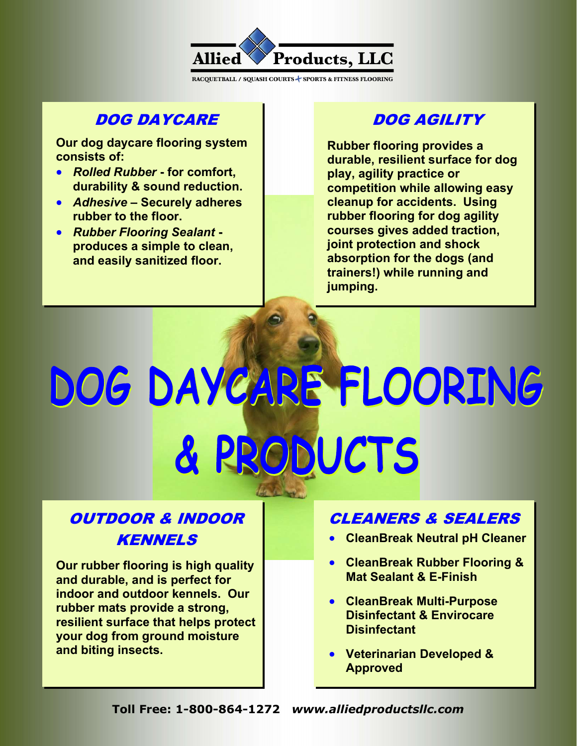

### DOG DAYCARE

Our dog daycare flooring system consists of:

- Rolled Rubber for comfort, durability & sound reduction.
- Adhesive Securely adheres rubber to the floor.
- Rubber Flooring Sealant produces a simple to clean, and easily sanitized floor.

# DOG AGILITY

Rubber flooring provides a durable, resilient surface for dog play, agility practice or competition while allowing easy cleanup for accidents. Using rubber flooring for dog agility courses gives added traction, joint protection and shock absorption for the dogs (and trainers!) while running and jumping.

# DOG DAYCARE FLOORING & PRODUCTS

# OUTDOOR & INDOOR KENNELS

Our rubber flooring is high quality and durable, and is perfect for indoor and outdoor kennels. Our rubber mats provide a strong, resilient surface that helps protect your dog from ground moisture and biting insects.

# CLEANERS & SEALERS

- CleanBreak Neutral pH Cleaner
- CleanBreak Rubber Flooring & Mat Sealant **& E-Finish**
- CleanBreak Multi-Purpose Disinfectant **& Envirocare Disinfectant**
- Veterinarian Developed & Approved